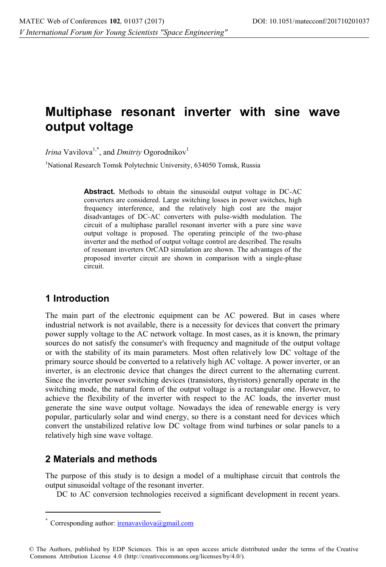# **Multiphase resonant inverter with sine wave output voltage**

*Irina* Vavilova<sup>1,\*</sup>, and *Dmitriy* Ogorodnikov<sup>1</sup>

<sup>1</sup>National Research Tomsk Polytechnic University, 634050 Tomsk, Russia

**Abstract.** Methods to obtain the sinusoidal output voltage in DC-AC converters are considered. Large switching losses in power switches, high frequency interference, and the relatively high cost are the major disadvantages of DC-AC converters with pulse-width modulation. The circuit of a multiphase parallel resonant inverter with a pure sine wave output voltage is proposed. The operating principle of the two-phase inverter and the method of output voltage control are described. The results of resonant inverters OrCAD simulation are shown. The advantages of the proposed inverter circuit are shown in comparison with a single-phase circuit.

### **1 Introduction**

The main part of the electronic equipment can be AC powered. But in cases where industrial network is not available, there is a necessity for devices that convert the primary power supply voltage to the AC network voltage. In most cases, as it is known, the primary sources do not satisfy the consumer's with frequency and magnitude of the output voltage or with the stability of its main parameters. Most often relatively low DC voltage of the primary source should be converted to a relatively high AC voltage. A power inverter, or an inverter, is an electronic device that changes the direct current to the alternating current. Since the inverter power switching devices (transistors, thyristors) generally operate in the switching mode, the natural form of the output voltage is a rectangular one. However, to achieve the flexibility of the inverter with respect to the AC loads, the inverter must generate the sine wave output voltage. Nowadays the idea of renewable energy is very popular, particularly solar and wind energy, so there is a constant need for devices which convert the unstabilized relative low DC voltage from wind turbines or solar panels to a relatively high sine wave voltage.

### **2 Materials and methods**

ı

The purpose of this study is to design a model of a multiphase circuit that controls the output sinusoidal voltage of the resonant inverter.

DC to AC conversion technologies received a significant development in recent years.

© The Authors, published by EDP Sciences. This is an open access article distributed under the terms of the Creative Commons Attribution License 4.0 (http://creativecommons.org/licenses/by/4.0/).

<sup>\*</sup> Corresponding author:  $\frac{\text{irmax}(\alpha)}{2}$ gmail.com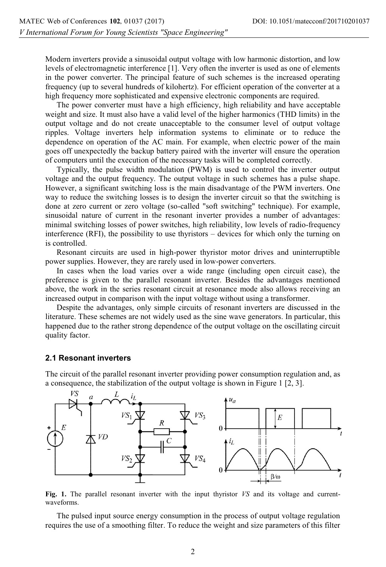Modern inverters provide a sinusoidal output voltage with low harmonic distortion, and low levels of electromagnetic interference [1]. Very often the inverter is used as one of elements in the power converter. The principal feature of such schemes is the increased operating frequency (up to several hundreds of kilohertz). For efficient operation of the converter at a high frequency more sophisticated and expensive electronic components are required.

The power converter must have a high efficiency, high reliability and have acceptable weight and size. It must also have a valid level of the higher harmonics (THD limits) in the output voltage and do not create unacceptable to the consumer level of output voltage ripples. Voltage inverters help information systems to eliminate or to reduce the dependence on operation of the AC main. For example, when electric power of the main goes off unexpectedly the backup battery paired with the inverter will ensure the operation of computers until the execution of the necessary tasks will be completed correctly.

Typically, the pulse width modulation (PWM) is used to control the inverter output voltage and the output frequency. The output voltage in such schemes has a pulse shape. However, a significant switching loss is the main disadvantage of the PWM inverters. One way to reduce the switching losses is to design the inverter circuit so that the switching is done at zero current or zero voltage (so-called "soft switching" technique). For example, sinusoidal nature of current in the resonant inverter provides a number of advantages: minimal switching losses of power switches, high reliability, low levels of radio-frequency interference (RFI), the possibility to use thyristors – devices for which only the turning on is controlled.

Resonant circuits are used in high-power thyristor motor drives and uninterruptible power supplies. However, they are rarely used in low-power converters.

In cases when the load varies over a wide range (including open circuit case), the preference is given to the parallel resonant inverter. Besides the advantages mentioned above, the work in the series resonant circuit at resonance mode also allows receiving an increased output in comparison with the input voltage without using a transformer.

Despite the advantages, only simple circuits of resonant inverters are discussed in the literature. These schemes are not widely used as the sine wave generators. In particular, this happened due to the rather strong dependence of the output voltage on the oscillating circuit quality factor.

#### **2.1 Resonant inverters**

The circuit of the parallel resonant inverter providing power consumption regulation and, as a consequence, the stabilization of the output voltage is shown in Figure 1 [2, 3].



Fig. 1. The parallel resonant inverter with the input thyristor VS and its voltage and currentwaveforms.

The pulsed input source energy consumption in the process of output voltage regulation requires the use of a smoothing filter. To reduce the weight and size parameters of this filter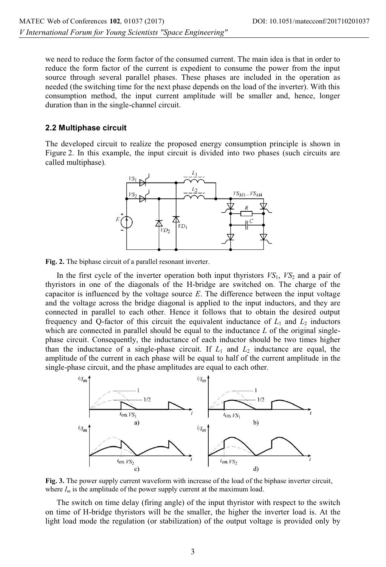we need to reduce the form factor of the consumed current. The main idea is that in order to reduce the form factor of the current is expedient to consume the power from the input source through several parallel phases. These phases are included in the operation as needed (the switching time for the next phase depends on the load of the inverter). With this consumption method, the input current amplitude will be smaller and, hence, longer duration than in the single-channel circuit.

#### **2.2 Multiphase circuit**

The developed circuit to realize the proposed energy consumption principle is shown in Figure 2. In this example, the input circuit is divided into two phases (such circuits are called multiphase).



**Fig. 2.** The biphase circuit of a parallel resonant inverter.

In the first cycle of the inverter operation both input thyristors  $VS_1$ ,  $VS_2$  and a pair of thyristors in one of the diagonals of the H-bridge are switched on. The charge of the capacitor is influenced by the voltage source *E*. The difference between the input voltage and the voltage across the bridge diagonal is applied to the input inductors, and they are connected in parallel to each other. Hence it follows that to obtain the desired output frequency and Q-factor of this circuit the equivalent inductance of  $L_1$  and  $L_2$  inductors which are connected in parallel should be equal to the inductance *L* of the original singlephase circuit. Consequently, the inductance of each inductor should be two times higher than the inductance of a single-phase circuit. If  $L_1$  and  $L_2$  inductance are equal, the amplitude of the current in each phase will be equal to half of the current amplitude in the single-phase circuit, and the phase amplitudes are equal to each other.



Fig. 3. The power supply current waveform with increase of the load of the biphase inverter circuit, where  $I_m$  is the amplitude of the power supply current at the maximum load.

The switch on time delay (firing angle) of the input thyristor with respect to the switch on time of H-bridge thyristors will be the smaller, the higher the inverter load is. At the light load mode the regulation (or stabilization) of the output voltage is provided only by